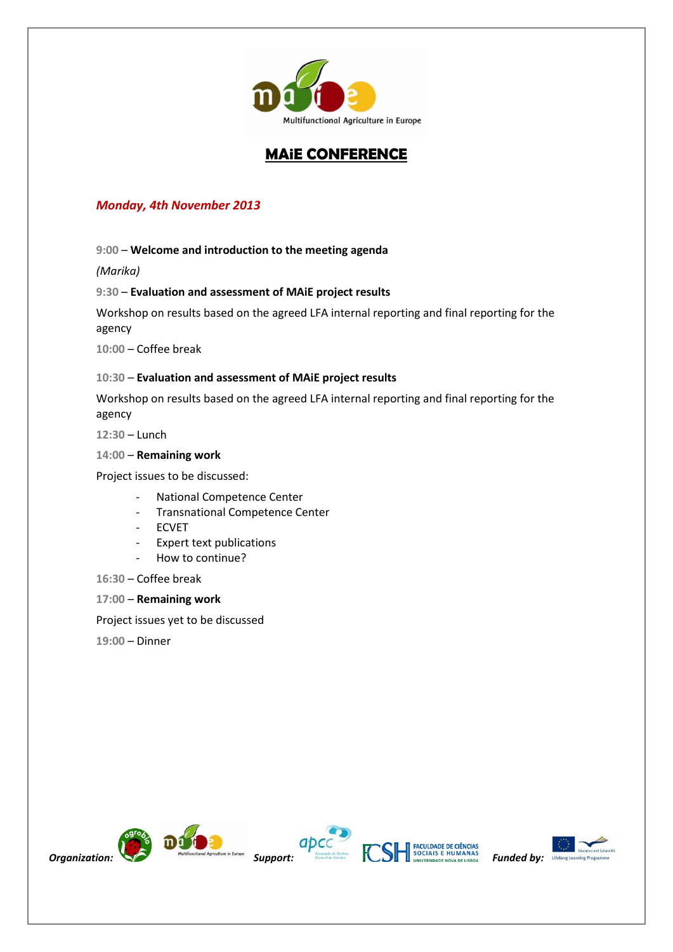

## **MAiE CONFERENCE**

### *Monday, 4th November 2013*

**9:00** – **Welcome and introduction to the meeting agenda** 

*(Marika)*

#### **9:30** – **Evaluation and assessment of MAiE project results**

Workshop on results based on the agreed LFA internal reporting and final reporting for the agency

**10:00** – Coffee break

#### **10:30** – **Evaluation and assessment of MAiE project results**

Workshop on results based on the agreed LFA internal reporting and final reporting for the agency

**12:30** – Lunch

### **14:00** – **Remaining work**

Project issues to be discussed:

- National Competence Center
- Transnational Competence Center
- ECVET
- Expert text publications
- How to continue?
- **16:30** Coffee break
- **17:00 Remaining work**

Project issues yet to be discussed

**19:00** – Dinner









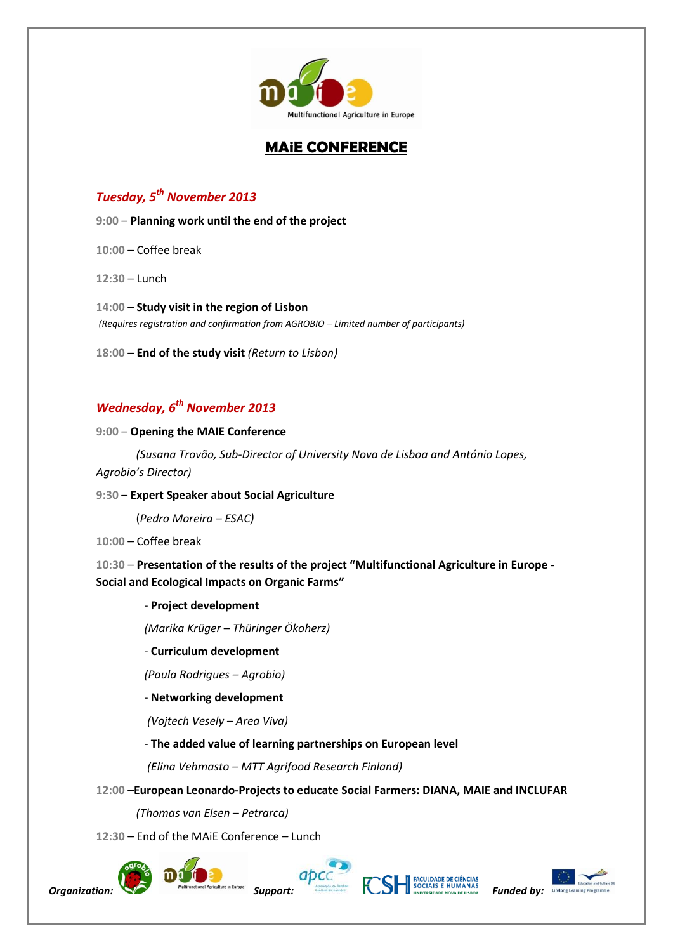

# **MAiE CONFERENCE**

## *Tuesday, 5th November 2013*

**9:00** – **Planning work until the end of the project**

**10:00** – Coffee break

**12:30** – Lunch

**14:00** – **Study visit in the region of Lisbon** *(Requires registration and confirmation from AGROBIO – Limited number of participants)* 

**18:00** – **End of the study visit** *(Return to Lisbon)*

# *Wednesday, 6th November 2013*

#### **9:00** – **Opening the MAIE Conference**

*(Susana Trovão, Sub-Director of University Nova de Lisboa and António Lopes,* 

*Agrobio's Director)*

#### **9:30** – **Expert Speaker about Social Agriculture**

(*Pedro Moreira – ESAC)*

**10:00** – Coffee break

**10:30** – **Presentation of the results of the project "Multifunctional Agriculture in Europe - Social and Ecological Impacts on Organic Farms"**

#### - **Project development**

*(Marika Krüger – Thüringer Ökoherz)*

#### - **Curriculum development**

*(Paula Rodrigues – Agrobio)*

- **Networking development**

*(Vojtech Vesely – Area Viva)*

#### - **The added value of learning partnerships on European level**

*(Elina Vehmasto – MTT Agrifood Research Finland)*

#### **12:00** –**European Leonardo-Projects to educate Social Farmers: DIANA, MAIE and INCLUFAR**

*(Thomas van Elsen – Petrarca)*

### **12:30** – End of the MAiE Conference *–* Lunch







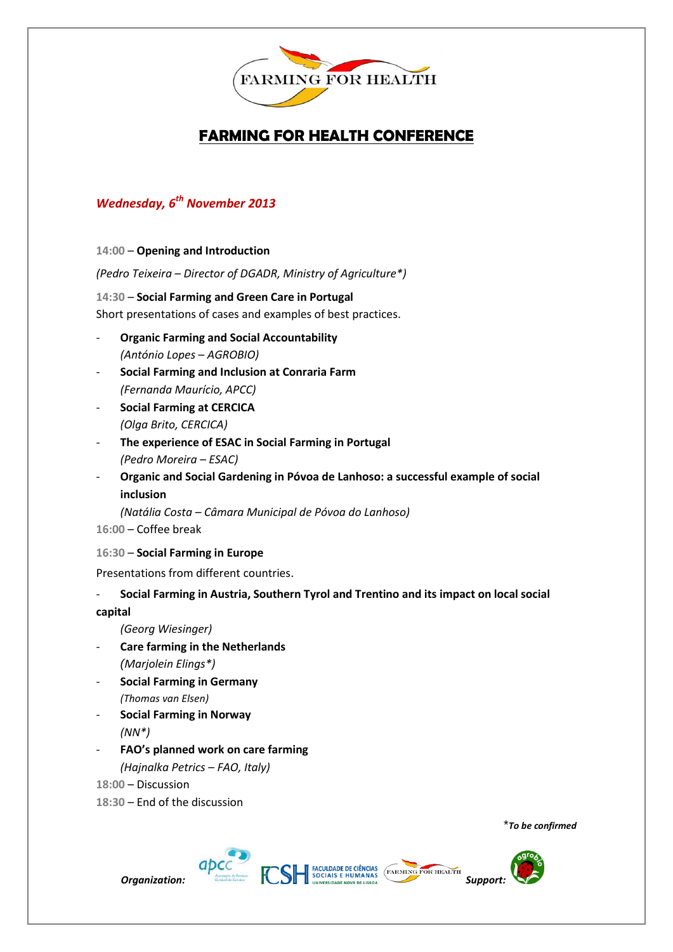

# **FARMING FOR HEALTH CONFERENCE**

## *Wednesday, 6th November 2013*

#### **14:00** – **Opening and Introduction**

*(Pedro Teixeira – Director of DGADR, Ministry of Agriculture\*)*

**14:30** – **Social Farming and Green Care in Portugal** Short presentations of cases and examples of best practices.

- **Organic Farming and Social Accountability** *(António Lopes* – *AGROBIO)*
- **Social Farming and Inclusion at Conraria Farm** *(Fernanda Maurício, APCC)*
- **Social Farming at CERCICA** *(Olga Brito, CERCICA)*
- *-* **The experience of ESAC in Social Farming in Portugal** *(Pedro Moreira – ESAC)*
- **Organic and Social Gardening in Póvoa de Lanhoso: a successful example of social inclusion**

*(Natália Costa – Câmara Municipal de Póvoa do Lanhoso)*

- **16:00**  Coffee break
- **16:30 Social Farming in Europe**

Presentations from different countries.

### - **Social Farming in Austria, Southern Tyrol and Trentino and its impact on local social**

**capital**

*(Georg Wiesinger)*

- **Care farming in the Netherlands** *(Marjolein Elings\*)*
- **Social Farming in Germany** *(Thomas van Elsen)*
- **Social Farming in Norway** *(NN\*)*
- **FAO's planned work on care farming** *(Hajnalka Petrics* – *FAO, Italy)*

**18:00** – Discussion

**18:30** – End of the discussion

\**To be confirmed*